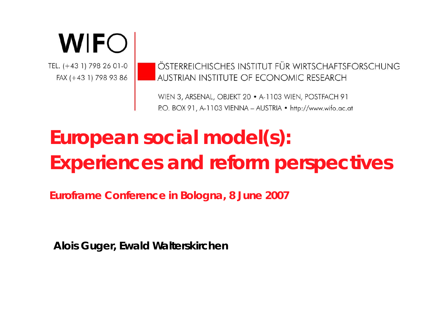# **WIFO**

TEL. (+43 1) 798 26 01-0 FAX (+43 1) 798 93 86 ÖSTERREICHISCHES INSTITUT FÜR WIRTSCHAFTSFORSCHUNG AUSTRIAN INSTITUTE OF ECONOMIC RESEARCH

WIEN 3, ARSENAL, OBJEKT 20 · A-1103 WIEN, POSTFACH 91 P.O. BOX 91, A-1103 VIENNA - AUSTRIA · http://www.wifo.ac.at

# **European social model(s): Experiences and reform perspectives**

**Euroframe Conference in Bologna, 8 June 2007**

**Alois Guger, Ewald Walterskirchen**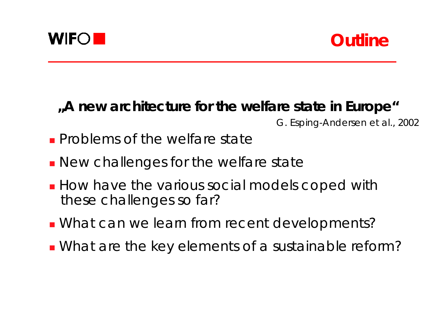



### **"A new architecture for the welfare state in Europe"**

G. Esping-Andersen et al., 2002

- **Problems of the welfare state**
- **New challenges for the welfare state**
- **How have the various social models coped with** these challenges so far?
- **Nhat can we learn from recent developments?**
- What are the key elements of a sustainable reform?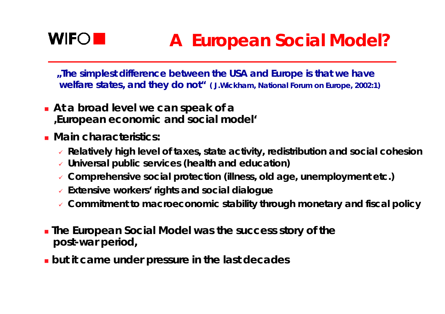

# **A European Social Model?**

*"The simplest difference between the USA and Europe is that we have welfare states, and they do not" ( J.Wickham, National Forum on Europe, 2002:1)*

- **At a broad level we can speak of <sup>a</sup> 'European economic and social model'**
- **Main characteristics:**
	- 9 **Relatively high level of taxes, state activity, redistribution and social cohesion**
	- 9 **Universal public services (health and education)**
	- 9 **Comprehensive social protection (illness, old age, unemployment etc.)**
	- 9 **Extensive workers' rights and social dialogue**
	- 9 **Commitment to macroeconomic stability through monetary and fiscal policy**
- **The European Social Model was the success story of the post-war period,**
- **but it came under pressure in the last decades**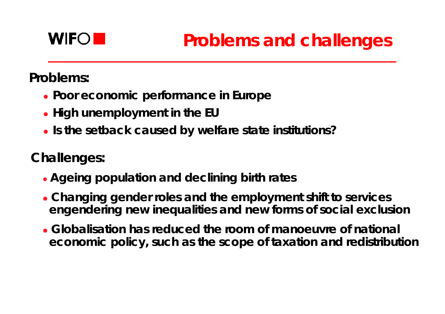

**Problems:**

- **Poor economic performance in Europe**
- **High unemployment in the EU**
- **.** Is the setback caused by welfare state institutions?

**ChalIenges:**

- z **Ageing population and declining birth rates**
- z **Changing gender roles and the employment shift to services engendering new inequalities and new forms of social exclusion**
- **Globalisation has reduced the room of manoeuvre of national economic policy, such as the scope of taxation and redistribution**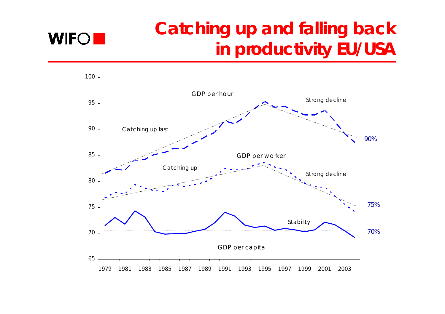# **Catching up and falling back in productivity EU/USA**



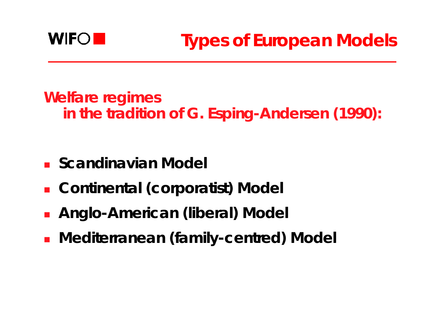

**Welfare regimes in the tradition of G. Esping-Andersen (1990):**

- **E** Scandinavian Model
- **Continental (corporatist) Model**
- **Anglo-American (liberal) Model**
- $\mathcal{L}_{\text{max}}$ **Mediterranean (family-centred) Model**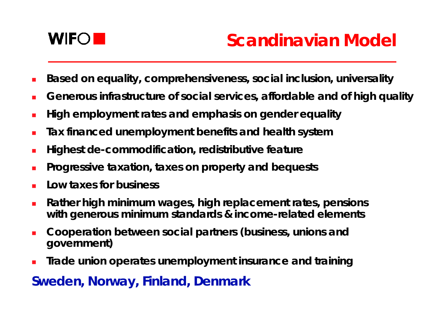

- $\blacksquare$ **Based on equality, comprehensiveness, social inclusion, universality**
- $\blacksquare$ **Generous infrastructure of social services, affordable and of high quality**
- $\blacksquare$ **High employment rates and emphasis on gender equality**
- $\overline{\phantom{a}}$ **Tax financed unemployment benefits and health system**
- $\overline{\phantom{a}}$ **Highest de-commodification, redistributive feature**
- **Progressive taxation, taxes on property and bequests**
- $\blacksquare$ **Low taxes for business**
- $\overline{\phantom{a}}$  **Rather high minimum wages, high replacement rates, pensions with generous minimum standards & income-related elements**
- L **Cooperation between social partners (business, unions and government)**
- $\blacksquare$ **Trade union operates unemployment insurance and training**

### **Sweden, Norway, Finland, Denmark**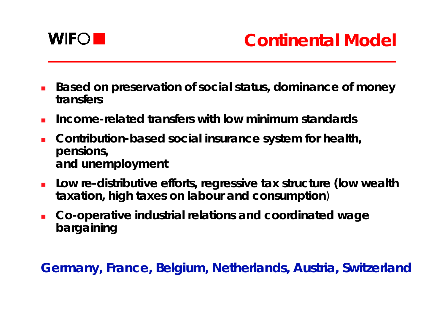

- n. **Based on preservation of social status, dominance of money transfers**
- **Income-related transfers with low minimum standards**
- n. **Contribution-based social insurance system for health, pensions, and unemployment**
- n. **Low re-distributive efforts, regressive tax structure (low wealth taxation, high taxes on labour and consumption** )
- П **Co-operative industrial relations and coordinated wage bargaining**

**Germany, France, Belgium, Netherlands, Austria, Switzerland**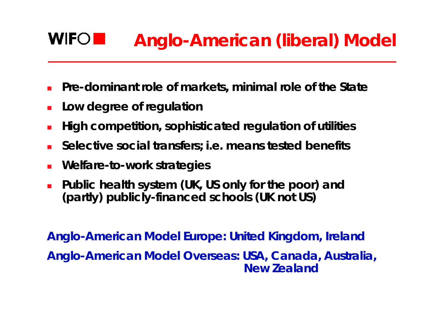#### **WIFOI Anglo-American (liberal) Model**

- П **Pre-dominant role of markets, minimal role of the State**
- × **Low degree of regulation**
- × **High competition, sophisticated regulation of utilities**
- F **Selective social transfers; i.e. means tested benefits**
- × **Welfare-to-work strategies**
- × **Public health system (UK, US only for the poor) and (partly) publicly-financed schools (UK not US)**

**Anglo-American Model Europe: United Kingdom, Ireland Anglo-American Model Overseas: USA, Canada, Australia, New Zealand**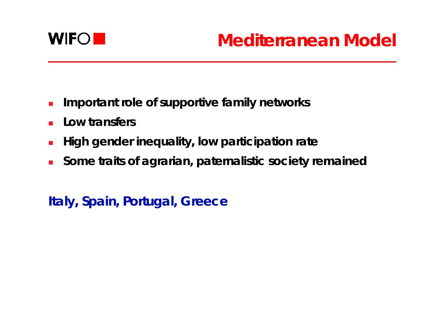

- $\overline{\phantom{a}}$ **Important role of supportive family networks**
- $\mathcal{L}_{\mathcal{A}}$ **Low transfers**
- $\mathcal{L}_{\mathcal{A}}$ **High gender inequality, low participation rate**
- $\mathcal{L}_{\mathcal{A}}$ **Some traits of agrarian, paternalistic society remained**

**Italy, Spain, Portugal, Greece**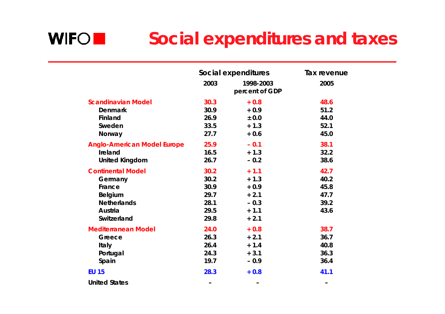#### **WIFO Social expenditures and taxes**

|                                    | Social expenditures |                             | Tax revenue |
|------------------------------------|---------------------|-----------------------------|-------------|
|                                    | 2003                | 1998-2003<br>percent of GDP | 2005        |
| <b>Scandinavian Model</b>          | 30.3                | $+0.8$                      | 48.6        |
| <b>Denmark</b>                     | 30.9                | $+0.9$                      | 51.2        |
| Finland                            | 26.9                | ± 0.0                       | 44.0        |
| Sweden                             | 33.5                | $+1.3$                      | 52.1        |
| Norway                             | 27.7                | $+0.6$                      | 45.0        |
| <b>Anglo-American Model Europe</b> | 25.9                | $-0.1$                      | 38.1        |
| Ireland                            | 16.5                | $+1.3$                      | 32.2        |
| <b>United Kingdom</b>              | 26.7                | $-0.2$                      | 38.6        |
| <b>Continental Model</b>           | 30.2                | $+1.1$                      | 42.7        |
| Germany                            | 30.2                | $+1.3$                      | 40.2        |
| France                             | 30.9                | $+0.9$                      | 45.8        |
| Belgium                            | 29.7                | $+2.1$                      | 47.7        |
| <b>Netherlands</b>                 | 28.1                | $-0.3$                      | 39.2        |
| Austria                            | 29.5                | $+ 1.1$                     | 43.6        |
| Switzerland                        | 29.8                | $+2.1$                      |             |
| <b>Mediterranean Model</b>         | 24.0                | $+0.8$                      | 38.7        |
| Greece                             | 26.3                | $+2.1$                      | 36.7        |
| <b>Italy</b>                       | 26.4                | $+ 1.4$                     | 40.8        |
| Portugal                           | 24.3                | $+3.1$                      | 36.3        |
| Spain                              | 19.7                | $-0.9$                      | 36.4        |
| <b>EU 15</b>                       | 28.3                | $+0.8$                      | 41.1        |
| <b>United States</b>               | -                   | -                           | -           |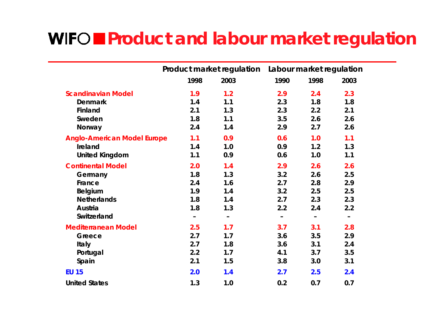## **Product and labour market regulation**

|                                    | Product market regulation    |                          | Labour market regulation |                              |                          |
|------------------------------------|------------------------------|--------------------------|--------------------------|------------------------------|--------------------------|
|                                    | 1998                         | 2003                     | 1990                     | 1998                         | 2003                     |
| <b>Scandinavian Model</b>          | 1.9                          | 1.2                      | 2.9                      | 2.4                          | 2.3                      |
| <b>Denmark</b>                     | 1.4                          | 1.1                      | 2.3                      | 1.8                          | 1.8                      |
| Finland                            | 2.1                          | 1.3                      | 2.3                      | 2.2                          | 2.1                      |
| Sweden                             | 1.8                          | 1.1                      | 3.5                      | 2.6                          | 2.6                      |
| Norway                             | 2.4                          | 1.4                      | 2.9                      | 2.7                          | 2.6                      |
| <b>Anglo-American Model Europe</b> | 1.1                          | 0.9                      | 0.6                      | 1.0                          | 1.1                      |
| Ireland                            | 1.4                          | 1.0                      | 0.9                      | 1.2                          | 1.3                      |
| <b>United Kingdom</b>              | 1.1                          | 0.9                      | 0.6                      | 1.0                          | 1.1                      |
| <b>Continental Model</b>           | 2.0                          | 1.4                      | 2.9                      | 2.6                          | 2.6                      |
| Germany                            | 1.8                          | 1.3                      | 3.2                      | 2.6                          | 2.5                      |
| France                             | 2.4                          | 1.6                      | 2.7                      | 2.8                          | 2.9                      |
| <b>Belgium</b>                     | 1.9                          | 1.4                      | 3.2                      | 2.5                          | 2.5                      |
| <b>Netherlands</b>                 | 1.8                          | 1.4                      | 2.7                      | 2.3                          | 2.3                      |
| Austria                            | 1.8                          | 1.3                      | 2.2                      | 2.4                          | 2.2                      |
| Switzerland                        | $\qquad \qquad \blacksquare$ | $\overline{\phantom{m}}$ | $\overline{\phantom{m}}$ | $\qquad \qquad \blacksquare$ | $\overline{\phantom{m}}$ |
| <b>Mediterranean Model</b>         | 2.5                          | 1.7                      | 3.7                      | 3.1                          | 2.8                      |
| Greece                             | 2.7                          | 1.7                      | 3.6                      | 3.5                          | 2.9                      |
| <b>Italy</b>                       | 2.7                          | 1.8                      | 3.6                      | 3.1                          | 2.4                      |
| Portugal                           | 2.2                          | 1.7                      | 4.1                      | 3.7                          | 3.5                      |
| Spain                              | 2.1                          | 1.5                      | 3.8                      | 3.0                          | 3.1                      |
| <b>EU 15</b>                       | 2.0                          | 1.4                      | 2.7                      | 2.5                          | 2.4                      |
| <b>United States</b>               | 1.3                          | 1.0                      | 0.2                      | 0.7                          | 0.7                      |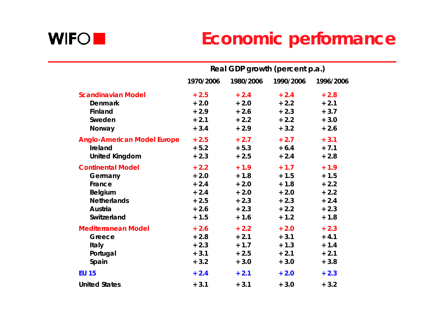

# **Economic performance**

|                                    | Real GDP growth (percent p.a.) |           |           |           |  |
|------------------------------------|--------------------------------|-----------|-----------|-----------|--|
|                                    | 1970/2006                      | 1980/2006 | 1990/2006 | 1996/2006 |  |
| <b>Scandinavian Model</b>          | $+2.5$                         | $+2.4$    | $+2.4$    | $+2.8$    |  |
| <b>Denmark</b>                     | $+2.0$                         | $+2.0$    | $+2.2$    | $+2.1$    |  |
| Finland                            | $+2.9$                         | $+2.6$    | $+2.3$    | $+3.7$    |  |
| Sweden                             | $+2.1$                         | $+2.2$    | $+2.2$    | $+3.0$    |  |
| Norway                             | $+3.4$                         | $+2.9$    | $+3.2$    | $+2.6$    |  |
| <b>Anglo-American Model Europe</b> | $+2.5$                         | $+2.7$    | $+2.7$    | $+3.1$    |  |
| Ireland                            | $+ 5.2$                        | $+ 5.3$   | $+6.4$    | $+7.1$    |  |
| <b>United Kingdom</b>              | $+2.3$                         | $+2.5$    | $+2.4$    | $+2.8$    |  |
| <b>Continental Model</b>           | $+2.2$                         | $+1.9$    | $+1.7$    | $+1.9$    |  |
| Germany                            | $+2.0$                         | $+ 1.8$   | $+ 1.5$   | $+1.5$    |  |
| France                             | $+2.4$                         | $+2.0$    | $+ 1.8$   | $+2.2$    |  |
| <b>Belgium</b>                     | $+2.4$                         | $+2.0$    | $+2.0$    | $+2.2$    |  |
| <b>Netherlands</b>                 | $+2.5$                         | $+2.3$    | $+2.3$    | $+2.4$    |  |
| Austria                            | $+2.6$                         | $+2.3$    | $+2.2$    | $+2.3$    |  |
| Switzerland                        | $+1.5$                         | $+ 1.6$   | $+ 1.2$   | $+1.8$    |  |
| <b>Mediterranean Model</b>         | $+2.6$                         | $+2.2$    | $+2.0$    | $+2.3$    |  |
| Greece                             | $+2.8$                         | $+2.1$    | $+3.1$    | $+4.1$    |  |
| <b>Italy</b>                       | $+2.3$                         | $+1.7$    | $+1.3$    | $+ 1.4$   |  |
| Portugal                           | $+3.1$                         | $+2.5$    | $+2.1$    | $+2.1$    |  |
| Spain                              | $+3.2$                         | $+3.0$    | $+3.0$    | $+3.8$    |  |
| <b>EU 15</b>                       | $+2.4$                         | $+2.1$    | $+2.0$    | $+2.3$    |  |
| <b>United States</b>               | $+3.1$                         | $+3.1$    | $+3.0$    | $+3.2$    |  |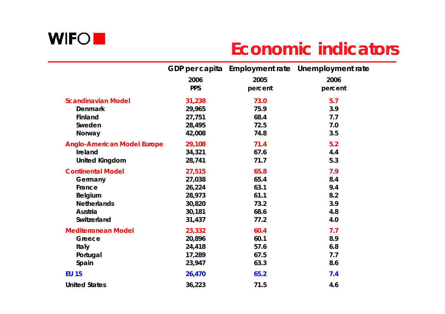

## **Economic indicators**

|                                    |            |         | GDP per capita Employment rate Unemployment rate |
|------------------------------------|------------|---------|--------------------------------------------------|
|                                    | 2006       | 2005    | 2006                                             |
|                                    | <b>PPS</b> | percent | percent                                          |
| <b>Scandinavian Model</b>          | 31,238     | 73.0    | 5.7                                              |
| <b>Denmark</b>                     | 29,965     | 75.9    | 3.9                                              |
| Finland                            | 27,751     | 68.4    | 7.7                                              |
| Sweden                             | 28,495     | 72.5    | 7.0                                              |
| Norway                             | 42,008     | 74.8    | 3.5                                              |
| <b>Anglo-American Model Europe</b> | 29,108     | 71.4    | 5.2                                              |
| Ireland                            | 34,321     | 67.6    | 4.4                                              |
| <b>United Kingdom</b>              | 28,741     | 71.7    | 5.3                                              |
| <b>Continental Model</b>           | 27,515     | 65.8    | 7.9                                              |
| Germany                            | 27,038     | 65.4    | 8.4                                              |
| France                             | 26,224     | 63.1    | 9.4                                              |
| <b>Belgium</b>                     | 28,973     | 61.1    | 8.2                                              |
| <b>Netherlands</b>                 | 30,820     | 73.2    | 3.9                                              |
| Austria                            | 30,181     | 68.6    | 4.8                                              |
| Switzerland                        | 31,437     | 77.2    | 4.0                                              |
| <b>Mediterranean Model</b>         | 23,332     | 60.4    | 7.7                                              |
| Greece                             | 20,896     | 60.1    | 8.9                                              |
| <b>Italy</b>                       | 24,418     | 57.6    | 6.8                                              |
| Portugal                           | 17,289     | 67.5    | 7.7                                              |
| Spain                              | 23,947     | 63.3    | 8.6                                              |
| <b>EU 15</b>                       | 26,470     | 65.2    | 7.4                                              |
| <b>United States</b>               | 36,223     | 71.5    | 4.6                                              |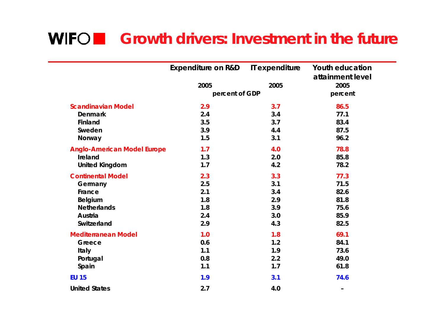### **Growth drivers: Investment in the future**

|                                    | <b>Expenditure on R&amp;D</b> | IT expenditure | <b>Youth education</b> |
|------------------------------------|-------------------------------|----------------|------------------------|
|                                    |                               |                | attainment level       |
|                                    | 2005                          | 2005           | 2005                   |
|                                    | percent of GDP                |                | percent                |
| <b>Scandinavian Model</b>          | 2.9                           | 3.7            | 86.5                   |
| <b>Denmark</b>                     | 2.4                           | 3.4            | 77.1                   |
| Finland                            | 3.5                           | 3.7            | 83.4                   |
| Sweden                             | 3.9                           | 4.4            | 87.5                   |
| Norway                             | 1.5                           | 3.1            | 96.2                   |
| <b>Anglo-American Model Europe</b> | 1.7                           | 4.0            | 78.8                   |
| Ireland                            | 1.3                           | 2.0            | 85.8                   |
| <b>United Kingdom</b>              | 1.7                           | 4.2            | 78.2                   |
| <b>Continental Model</b>           | 2.3                           | 3.3            | 77.3                   |
| Germany                            | 2.5                           | 3.1            | 71.5                   |
| France                             | 2.1                           | 3.4            | 82.6                   |
| <b>Belgium</b>                     | 1.8                           | 2.9            | 81.8                   |
| <b>Netherlands</b>                 | 1.8                           | 3.9            | 75.6                   |
| Austria                            | 2.4                           | 3.0            | 85.9                   |
| Switzerland                        | 2.9                           | 4.3            | 82.5                   |
| <b>Mediterranean Model</b>         | 1.0                           | 1.8            | 69.1                   |
| Greece                             | 0.6                           | 1.2            | 84.1                   |
| Italy                              | 1.1                           | 1.9            | 73.6                   |
| Portugal                           | 0.8                           | 2.2            | 49.0                   |
| Spain                              | 1.1                           | 1.7            | 61.8                   |
| <b>EU 15</b>                       | 1.9                           | 3.1            | 74.6                   |
| <b>United States</b>               | 2.7                           | 4.0            | -                      |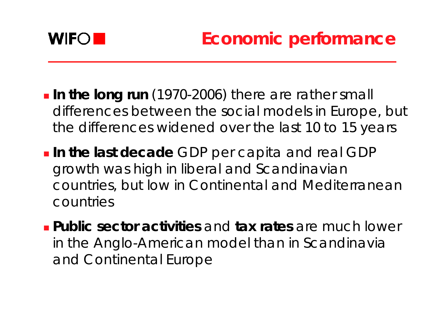

- **In the long run** (1970-2006) there are rather small differences between the social models in Europe, but the differences widened over the last 10 to 15 years
- **In the last decade** GDP per capita and real GDP growth was high in liberal and Scandinavian countries, but low in Continental and Mediterranean countries
- **Public sector activities** and **tax rates** are much lower in the Anglo-American model than in Scandinavia and Continental Europe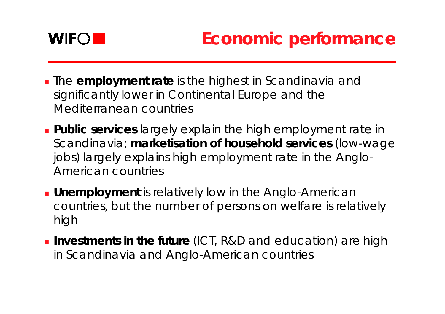

- The **employment rate** is the highest in Scandinavia and significantly lower in Continental Europe and the Mediterranean countries
- **Public services** largely explain the high employment rate in Scandinavia; **marketisation of household services** (low-wage jobs) largely explains high employment rate in the Anglo-American countries
- **Unemployment** is relatively low in the Anglo-American countries, but the number of persons on welfare is relatively high
- **Investments in the future** (ICT, R&D and education) are high in Scandinavia and Anglo-American countries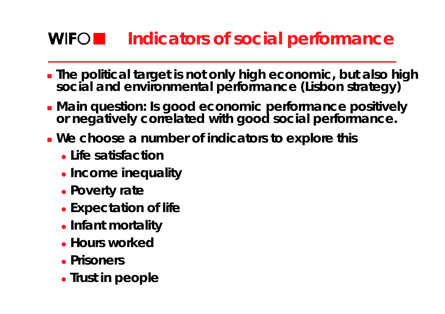# **Indicators of social performance**

- . The political target is not only high economic, but also high social and environmental performance (Lisbon strategy)
- **Main question: Is good economic performance positively or negatively correlated with good social performance.**
- **We choose a number of indicators to explore this**
	- z **Life satisfaction**
	- **Income inequality**
	- z **Poverty rate**
	- **Expectation of life**
	- **Infant mortality**
	- **Hours worked**
	- **Prisoners**
	- **Trust in people**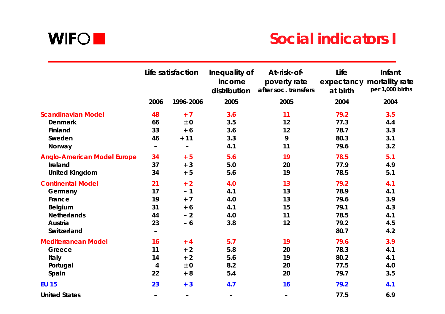

### **Social indicators I**

|                                    | Life satisfaction        |                   | Inequality of<br>income<br>distribution | At-risk-of-<br>poverty rate<br>after soc. transfers | Life<br>at birth | Infant<br>expectancy mortality rate<br>per 1,000 births |
|------------------------------------|--------------------------|-------------------|-----------------------------------------|-----------------------------------------------------|------------------|---------------------------------------------------------|
|                                    | 2006                     | 1996-2006         | 2005                                    | 2005                                                | 2004             | 2004                                                    |
| <b>Scandinavian Model</b>          | 48                       | $+7$              | 3.6                                     | 11                                                  | 79.2             | 3.5                                                     |
| <b>Denmark</b>                     | 66                       | ± 0               | 3.5                                     | 12                                                  | 77.3             | 4.4                                                     |
| Finland                            | 33                       | $+6$              | 3.6                                     | 12                                                  | 78.7             | 3.3                                                     |
| Sweden                             | 46                       | $+ 11$            | 3.3                                     | 9                                                   | 80.3             | 3.1                                                     |
| Norway                             | $\overline{\phantom{0}}$ | $\qquad \qquad -$ | 4.1                                     | 11                                                  | 79.6             | 3.2                                                     |
| <b>Anglo-American Model Europe</b> | 34                       | $+5$              | 5.6                                     | 19                                                  | 78.5             | 5.1                                                     |
| Ireland                            | 37                       | $+3$              | 5.0                                     | 20                                                  | 77.9             | 4.9                                                     |
| <b>United Kingdom</b>              | 34                       | $+5$              | 5.6                                     | 19                                                  | 78.5             | 5.1                                                     |
| <b>Continental Model</b>           | 21                       | $+2$              | 4.0                                     | 13                                                  | 79.2             | 4.1                                                     |
| Germany                            | 17                       | $-1$              | 4.1                                     | 13                                                  | 78.9             | 4.1                                                     |
| France                             | 19                       | $+7$              | 4.0                                     | 13                                                  | 79.6             | 3.9                                                     |
| <b>Belgium</b>                     | 31                       | $+6$              | 4.1                                     | 15                                                  | 79.1             | 4.3                                                     |
| <b>Netherlands</b>                 | 44                       | $-2$              | 4.0                                     | 11                                                  | 78.5             | 4.1                                                     |
| Austria                            | 23                       | $-6$              | 3.8                                     | 12                                                  | 79.2             | 4.5                                                     |
| Switzerland                        | $\overline{\phantom{a}}$ |                   |                                         |                                                     | 80.7             | 4.2                                                     |
| <b>Mediterranean Model</b>         | 16                       | $+4$              | 5.7                                     | 19                                                  | 79.6             | 3.9                                                     |
| Greece                             | 11                       | $+2$              | 5.8                                     | 20                                                  | 78.3             | 4.1                                                     |
| Italy                              | 14                       | $+2$              | 5.6                                     | 19                                                  | 80.2             | 4.1                                                     |
| Portugal                           | $\overline{\mathbf{4}}$  | ± 0               | 8.2                                     | 20                                                  | 77.5             | 4.0                                                     |
| Spain                              | 22                       | $+8$              | 5.4                                     | 20                                                  | 79.7             | 3.5                                                     |
| <b>EU 15</b>                       | 23                       | $+3$              | 4.7                                     | 16                                                  | 79.2             | 4.1                                                     |
| <b>United States</b>               | -                        | -                 | -                                       | $\qquad \qquad -$                                   | 77.5             | 6.9                                                     |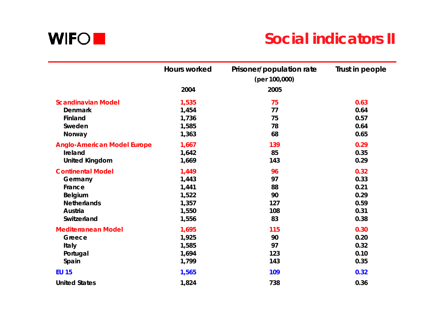

### **Social indicators II**

|                                    | <b>Hours worked</b> | Prisoner/population rate<br>(per 100,000) | Trust in people |
|------------------------------------|---------------------|-------------------------------------------|-----------------|
|                                    | 2004                | 2005                                      |                 |
| <b>Scandinavian Model</b>          | 1,535               | 75                                        | 0.63            |
| <b>Denmark</b>                     | 1,454               | 77                                        | 0.64            |
| Finland                            | 1,736               | 75                                        | 0.57            |
| Sweden                             | 1,585               | 78                                        | 0.64            |
| Norway                             | 1,363               | 68                                        | 0.65            |
| <b>Anglo-American Model Europe</b> | 1,667               | 139                                       | 0.29            |
| Ireland                            | 1,642               | 85                                        | 0.35            |
| <b>United Kingdom</b>              | 1,669               | 143                                       | 0.29            |
| <b>Continental Model</b>           | 1,449               | 96                                        | 0.32            |
| Germany                            | 1,443               | 97                                        | 0.33            |
| France                             | 1,441               | 88                                        | 0.21            |
| Belgium                            | 1,522               | 90                                        | 0.29            |
| <b>Netherlands</b>                 | 1,357               | 127                                       | 0.59            |
| Austria                            | 1,550               | 108                                       | 0.31            |
| Switzerland                        | 1,556               | 83                                        | 0.38            |
| <b>Mediterranean Model</b>         | 1,695               | 115                                       | 0.30            |
| Greece                             | 1,925               | 90                                        | 0.20            |
| Italy                              | 1,585               | 97                                        | 0.32            |
| Portugal                           | 1,694               | 123                                       | 0.10            |
| Spain                              | 1,799               | 143                                       | 0.35            |
| <b>EU 15</b>                       | 1,565               | 109                                       | 0.32            |
| <b>United States</b>               | 1,824               | 738                                       | 0.36            |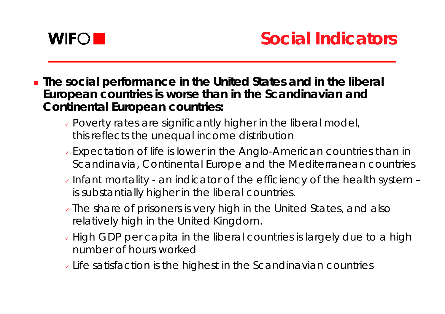

- **The social performance in the United States and in the liberal European countries is worse than in the Scandinavian and Continental European countries:**
	- $\overline{\cdot}$  Poverty rates are significantly higher in the liberal model, this reflects the unequal income distribution
	- $\overline{\cdot}$  Expectation of life is lower in the Anglo-American countries than in Scandinavia, Continental Europe and the Mediterranean countries
	- $\overline{\checkmark}$  Infant mortality an indicator of the efficiency of the health system is substantially higher in the liberal countries.
	- $\overline{\checkmark}$  The share of prisoners is very high in the United States, and also relatively high in the United Kingdom.
	- $\overline{\check{}}$  High GDP per capita in the liberal countries is largely due to a high number of hours worked
	- $\overline{\phantom{\cdot}}$  Life satisfaction is the highest in the Scandinavian countries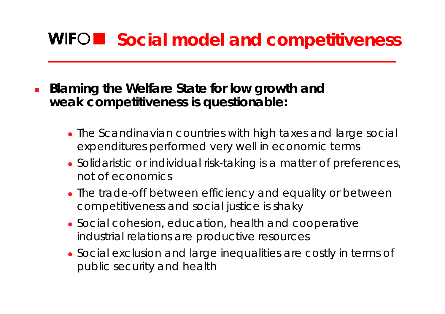# **WIFOR Social model and competitiveness**

- $\mathcal{L}_{\mathcal{A}}$  **Blaming the Welfare State for low growth and weak competitiveness is questionable:**
	- The Scandinavian countries with high taxes and large social expenditures performed very well in economic terms
	- Solidaristic or individual risk-taking is a matter of preferences, not of economics
	- The trade-off between efficiency and equality or between competitiveness and social justice is shaky
	- Social cohesion, education, health and cooperative industrial relations are productive resources
	- Social exclusion and large inequalities are costly in terms of public security and health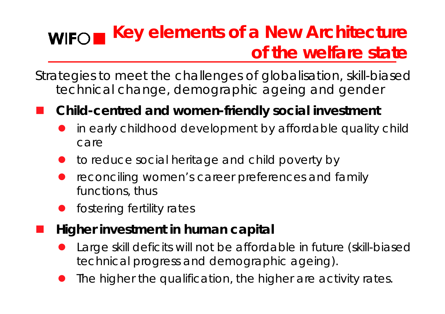#### **Key elements of a New Architecture WIFO of the welfare state**

Strategies to meet the challenges of globalisation, skill-biased technical change, demographic ageing and gender

#### **Service Service Child-centred and women-friendly social investment**

- $\bullet$  in early childhood development by affordable quality child care
- $\bullet$ to reduce social heritage and child poverty by
- $\bullet$  reconciling women's career preferences and family functions, thus
- $\bullet$ fostering fertility rates

**Service Service** 

- **Higher investment in human capital**
	- $\bullet$  Large skill deficits will not be affordable in future (skill-biased technical progress and demographic ageing).
	- $\bullet$ The higher the qualification, the higher are activity rates.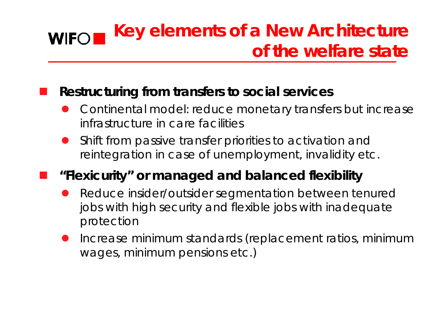#### **Key elements of a New Architecture WIFO of the welfare state**

#### **Restructuring from transfers to social services**

- $\bullet$  Continental model: reduce monetary transfers but increase infrastructure in care facilities
- $\bullet$  Shift from passive transfer priorities to activation and reintegration in case of unemployment, invalidity etc.

### **"Flexicurity" or managed and balanced flexibility**

- $\bullet$  Reduce insider/outsider segmentation between tenured jobs with high security and flexible jobs with inadequate protection
- $\bullet$  Increase minimum standards (replacement ratios, minimum wages, minimum pensions etc.)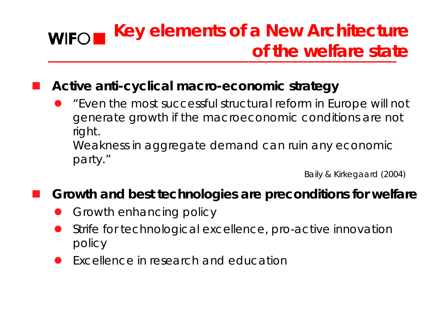#### **Key elements of a New Architecture WIFO of the welfare state**

#### **Active anti-cyclical macro-economic strategy**

 $\bullet$  *"Even the most successful structural reform in Europe will not generate growth if the macroeconomic conditions are not right. Weakness in aggregate demand can ruin any economic* 

*party."*

Baily & Kirkegaard (2004)

#### **Growth and best technologies are preconditions for welfare**

- $\bullet$ Growth enhancing policy
- $\bullet$  Strife for technological excellence, pro-active innovation policy
- $\bullet$ Excellence in research and education